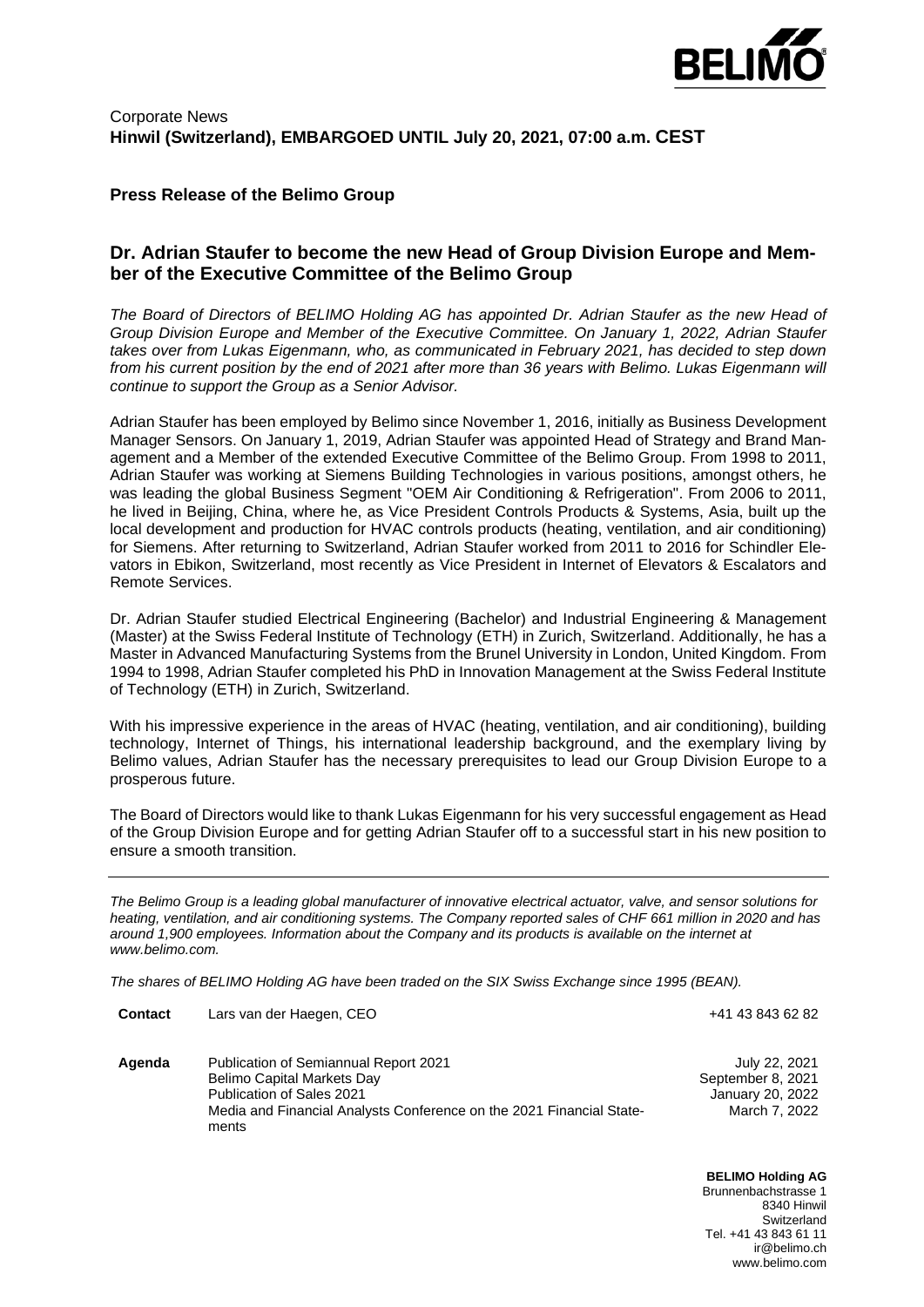

### **Press Release of the Belimo Group**

## **Dr. Adrian Staufer to become the new Head of Group Division Europe and Member of the Executive Committee of the Belimo Group**

*The Board of Directors of BELIMO Holding AG has appointed Dr. Adrian Staufer as the new Head of Group Division Europe and Member of the Executive Committee. On January 1, 2022, Adrian Staufer takes over from Lukas Eigenmann, who, as communicated in February 2021, has decided to step down from his current position by the end of 2021 after more than 36 years with Belimo. Lukas Eigenmann will continue to support the Group as a Senior Advisor.*

Adrian Staufer has been employed by Belimo since November 1, 2016, initially as Business Development Manager Sensors. On January 1, 2019, Adrian Staufer was appointed Head of Strategy and Brand Management and a Member of the extended Executive Committee of the Belimo Group. From 1998 to 2011, Adrian Staufer was working at Siemens Building Technologies in various positions, amongst others, he was leading the global Business Segment "OEM Air Conditioning & Refrigeration". From 2006 to 2011, he lived in Beijing, China, where he, as Vice President Controls Products & Systems, Asia, built up the local development and production for HVAC controls products (heating, ventilation, and air conditioning) for Siemens. After returning to Switzerland, Adrian Staufer worked from 2011 to 2016 for Schindler Elevators in Ebikon, Switzerland, most recently as Vice President in Internet of Elevators & Escalators and Remote Services.

Dr. Adrian Staufer studied Electrical Engineering (Bachelor) and Industrial Engineering & Management (Master) at the Swiss Federal Institute of Technology (ETH) in Zurich, Switzerland. Additionally, he has a Master in Advanced Manufacturing Systems from the Brunel University in London, United Kingdom. From 1994 to 1998, Adrian Staufer completed his PhD in Innovation Management at the Swiss Federal Institute of Technology (ETH) in Zurich, Switzerland.

With his impressive experience in the areas of HVAC (heating, ventilation, and air conditioning), building technology, Internet of Things, his international leadership background, and the exemplary living by Belimo values, Adrian Staufer has the necessary prerequisites to lead our Group Division Europe to a prosperous future.

The Board of Directors would like to thank Lukas Eigenmann for his very successful engagement as Head of the Group Division Europe and for getting Adrian Staufer off to a successful start in his new position to ensure a smooth transition.

*The Belimo Group is a leading global manufacturer of innovative electrical actuator, valve, and sensor solutions for heating, ventilation, and air conditioning systems. The Company reported sales of CHF 661 million in 2020 and has around 1,900 employees. Information about the Company and its products is available on the internet at www.belimo.com.*

*The shares of BELIMO Holding AG have been traded on the SIX Swiss Exchange since 1995 (BEAN).*

| <b>Contact</b> | Lars van der Haegen, CEO                                                                                                                                                                 | +41 43 843 62 82                                                        |
|----------------|------------------------------------------------------------------------------------------------------------------------------------------------------------------------------------------|-------------------------------------------------------------------------|
| Agenda         | Publication of Semiannual Report 2021<br>Belimo Capital Markets Day<br><b>Publication of Sales 2021</b><br>Media and Financial Analysts Conference on the 2021 Financial State-<br>ments | July 22, 2021<br>September 8, 2021<br>January 20, 2022<br>March 7, 2022 |

**BELIMO Holding AG** Brunnenbachstrasse 1 8340 Hinwil Switzerland Tel. +41 43 843 61 11 ir@belimo.ch www.belimo.com